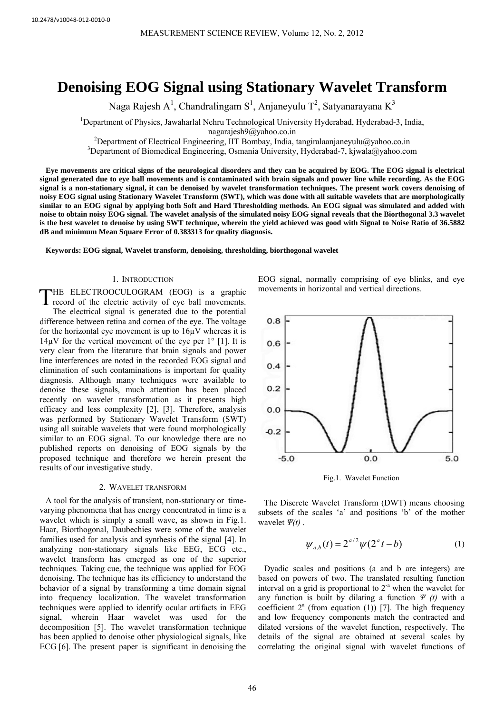# **Denoising EOG Signal using Stationary Wavelet Transform**

Naga Rajesh A<sup>1</sup>, Chandralingam S<sup>1</sup>, Anjaneyulu T<sup>2</sup>, Satyanarayana K<sup>3</sup>

<sup>1</sup>Department of Physics, Jawaharlal Nehru Technological University Hyderabad, Hyderabad-3, India,

nagarajesh9@yahoo.co.in<br><sup>2</sup>Department of Electrical Engineering, UT Bomboy, India

 $^{2}$ Department of Electrical Engineering, IIT Bombay, India, tangiralaanjaneyulu@yahoo.co.in  $^{3}$ Department of Biomedical Engineering, Osmania University, Hydershed 7, kiwahoo.co.co.in

<sup>3</sup>Department of Biomedical Engineering, Osmania University, Hyderabad-7, kjwala@yahoo.com

**Eye movements are critical signs of the neurological disorders and they can be acquired by EOG. The EOG signal is electrical signal generated due to eye ball movements and is contaminated with brain signals and power line while recording. As the EOG signal is a non-stationary signal, it can be denoised by wavelet transformation techniques. The present work covers denoising of noisy EOG signal using Stationary Wavelet Transform (SWT), which was done with all suitable wavelets that are morphologically similar to an EOG signal by applying both Soft and Hard Thresholding methods. An EOG signal was simulated and added with noise to obtain noisy EOG signal. The wavelet analysis of the simulated noisy EOG signal reveals that the Biorthogonal 3.3 wavelet is the best wavelet to denoise by using SWT technique, wherein the yield achieved was good with Signal to Noise Ratio of 36.5882 dB and minimum Mean Square Error of 0.383313 for quality diagnosis.** 

**Keywords: EOG signal, Wavelet transform, denoising, thresholding, biorthogonal wavelet**

# 1. INTRODUCTION

HE ELECTROOCULOGRAM (EOG) is a graphic record of the electric activity of eye ball movements. The electrical signal is generated due to the potential difference between retina and cornea of the eye. The voltage for the horizontal eye movement is up to 16µV whereas it is  $14\mu$ V for the vertical movement of the eye per  $1^{\circ}$  [1]. It is very clear from the literature that brain signals and power line interferences are noted in the recorded EOG signal and elimination of such contaminations is important for quality diagnosis. Although many techniques were available to denoise these signals, much attention has been placed recently on wavelet transformation as it presents high efficacy and less complexity [2], [3]. Therefore, analysis was performed by Stationary Wavelet Transform (SWT) using all suitable wavelets that were found morphologically similar to an EOG signal. To our knowledge there are no published reports on denoising of EOG signals by the proposed technique and therefore we herein present the results of our investigative study. T

## 2. WAVELET TRANSFORM

A tool for the analysis of transient, non-stationary or timevarying phenomena that has energy concentrated in time is a wavelet which is simply a small wave, as shown in Fig.1. Haar, Biorthogonal, Daubechies were some of the wavelet families used for analysis and synthesis of the signal [4]. In analyzing non-stationary signals like EEG, ECG etc., wavelet transform has emerged as one of the superior techniques. Taking cue, the technique was applied for EOG denoising. The technique has its efficiency to understand the behavior of a signal by transforming a time domain signal into frequency localization. The wavelet transformation techniques were applied to identify ocular artifacts in EEG signal, wherein Haar wavelet was used for the decomposition [5]. The wavelet transformation technique has been applied to denoise other physiological signals, like ECG [6]. The present paper is significant in denoising the

EOG signal, normally comprising of eye blinks, and eye movements in horizontal and vertical directions.



Fig.1. Wavelet Function

The Discrete Wavelet Transform (DWT) means choosing subsets of the scales 'a' and positions 'b' of the mother wavelet *Ψ(t)* .

$$
\psi_{a,b}(t) = 2^{a/2} \psi(2^a t - b)
$$
 (1)

Dyadic scales and positions (a and b are integers) are based on powers of two. The translated resulting function interval on a grid is proportional to  $2<sup>-a</sup>$  when the wavelet for any function is built by dilating a function *Ψ (t)* with a coefficient  $2^a$  (from equation (1)) [7]. The high frequency and low frequency components match the contracted and dilated versions of the wavelet function, respectively. The details of the signal are obtained at several scales by correlating the original signal with wavelet functions of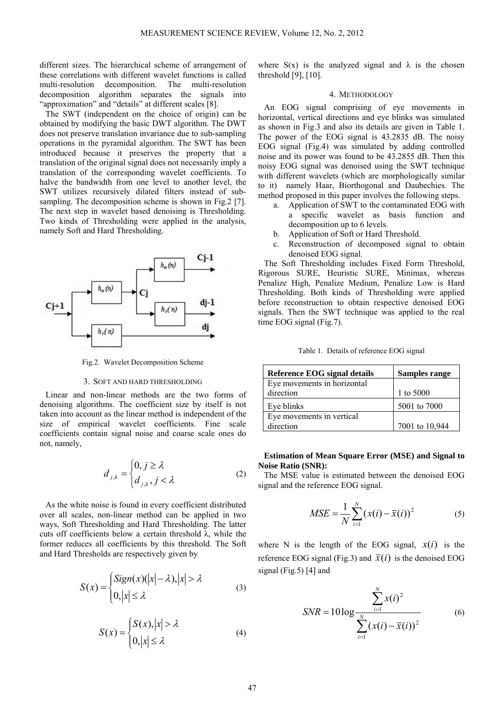different sizes. The hierarchical scheme of arrangement of these correlations with different wavelet functions is called multi-resolution decomposition. The multi-resolution decomposition algorithm separates the signals into "approximation" and "details" at different scales [8].

The SWT (independent on the choice of origin) can be obtained by modifying the basic DWT algorithm. The DWT does not preserve translation invariance due to sub-sampling operations in the pyramidal algorithm. The SWT has been introduced because it preserves the property that a translation of the original signal does not necessarily imply a translation of the corresponding wavelet coefficients. To halve the bandwidth from one level to another level, the SWT utilizes recursively dilated filters instead of subsampling. The decomposition scheme is shown in Fig.2 [7]. The next step in wavelet based denoising is Thresholding. Two kinds of Thresholding were applied in the analysis, namely Soft and Hard Thresholding.



Fig.2. Wavelet Decomposition Scheme

#### 3. SOFT AND HARD THRESHOLDING

Linear and non-linear methods are the two forms of denoising algorithms. The coefficient size by itself is not taken into account as the linear method is independent of the size of empirical wavelet coefficients. Fine scale coefficients contain signal noise and coarse scale ones do not, namely,

$$
d_{j,k} = \begin{cases} 0, j \ge \lambda \\ d_{j,k}, j < \lambda \end{cases} \tag{2}
$$

As the white noise is found in every coefficient distributed over all scales, non-linear method can be applied in two ways, Soft Thresholding and Hard Thresholding. The latter cuts off coefficients below a certain threshold  $\lambda$ , while the former reduces all coefficients by this threshold. The Soft and Hard Thresholds are respectively given by

$$
S(x) = \begin{cases} Sign(x)(|x| - \lambda), |x| > \lambda \\ 0, |x| \le \lambda \end{cases}
$$
 (3)

$$
S(x) = \begin{cases} S(x), |x| > \lambda \\ 0, |x| \le \lambda \end{cases}
$$
 (4)

where  $S(x)$  is the analyzed signal and  $\lambda$  is the chosen threshold [9], [10].

# 4. METHODOLOGY

An EOG signal comprising of eye movements in horizontal, vertical directions and eye blinks was simulated as shown in Fig.3 and also its details are given in Table 1. The power of the EOG signal is 43.2835 dB. The noisy EOG signal (Fig.4) was simulated by adding controlled noise and its power was found to be 43.2855 dB. Then this noisy EOG signal was denoised using the SWT technique with different wavelets (which are morphologically similar to it) namely Haar, Biorthogonal and Daubechies. The method proposed in this paper involves the following steps.

- a. Application of SWT to the contaminated EOG with a specific wavelet as basis function and decomposition up to 6 levels.
- b. Application of Soft or Hard Threshold.
- c. Reconstruction of decomposed signal to obtain denoised EOG signal.

The Soft Thresholding includes Fixed Form Threshold, Rigorous SURE, Heuristic SURE, Minimax, whereas Penalize High, Penalize Medium, Penalize Low is Hard Thresholding. Both kinds of Thresholding were applied before reconstruction to obtain respective denoised EOG signals. Then the SWT technique was applied to the real time EOG signal (Fig.7).

Table 1. Details of reference EOG signal

| Reference EOG signal details | <b>Samples range</b> |
|------------------------------|----------------------|
| Eye movements in horizontal  |                      |
| direction                    | 1 to 5000            |
| Eye blinks                   | 5001 to 7000         |
| Eye movements in vertical    |                      |
| direction                    | 7001 to 10,944       |

# **Estimation of Mean Square Error (MSE) and Signal to Noise Ratio (SNR):**

The MSE value is estimated between the denoised EOG signal and the reference EOG signal.

$$
MSE = \frac{1}{N} \sum_{i=1}^{N} (x(i) - \overline{x}(i))^2
$$
 (5)

where N is the length of the EOG signal,  $x(i)$  is the reference EOG signal (Fig.3) and  $\overline{x}(i)$  is the denoised EOG signal (Fig.5) [4] and

$$
SNR = 10 \log \frac{\sum_{i=1}^{N} x(i)^2}{\sum_{i=1}^{N} (x(i) - \overline{x}(i))^2}
$$
 (6)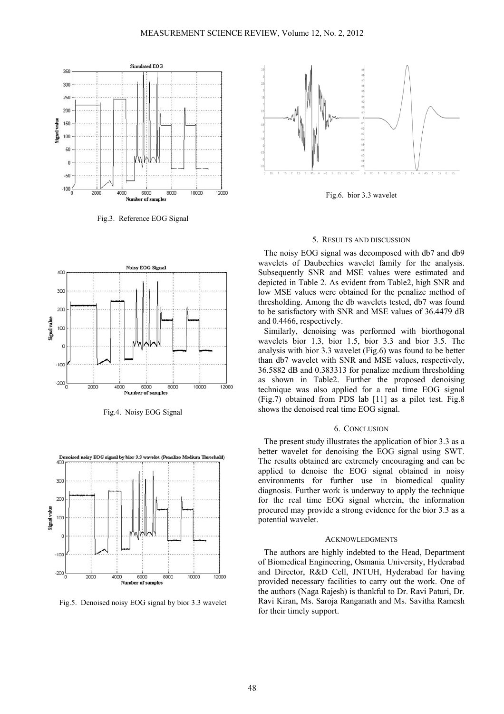

Fig.3. Reference EOG Signal



Fig.4. Noisy EOG Signal



Fig.5. Denoised noisy EOG signal by bior 3.3 wavelet



Fig.6. bior 3.3 wavelet

## 5. RESULTS AND DISCUSSION

The noisy EOG signal was decomposed with db7 and db9 wavelets of Daubechies wavelet family for the analysis. Subsequently SNR and MSE values were estimated and depicted in Table 2. As evident from Table2, high SNR and low MSE values were obtained for the penalize method of thresholding. Among the db wavelets tested, db7 was found to be satisfactory with SNR and MSE values of 36.4479 dB and 0.4466, respectively.

Similarly, denoising was performed with biorthogonal wavelets bior 1.3, bior 1.5, bior 3.3 and bior 3.5. The analysis with bior 3.3 wavelet (Fig.6) was found to be better than db7 wavelet with SNR and MSE values, respectively, 36.5882 dB and 0.383313 for penalize medium thresholding as shown in Table2. Further the proposed denoising technique was also applied for a real time EOG signal (Fig.7) obtained from PDS lab [11] as a pilot test. Fig.8 shows the denoised real time EOG signal.

## 6. CONCLUSION

The present study illustrates the application of bior 3.3 as a better wavelet for denoising the EOG signal using SWT. The results obtained are extremely encouraging and can be applied to denoise the EOG signal obtained in noisy environments for further use in biomedical quality diagnosis. Further work is underway to apply the technique for the real time EOG signal wherein, the information procured may provide a strong evidence for the bior 3.3 as a potential wavelet.

#### ACKNOWLEDGMENTS

The authors are highly indebted to the Head, Department of Biomedical Engineering, Osmania University, Hyderabad and Director, R&D Cell, JNTUH, Hyderabad for having provided necessary facilities to carry out the work. One of the authors (Naga Rajesh) is thankful to Dr. Ravi Paturi, Dr. Ravi Kiran, Ms. Saroja Ranganath and Ms. Savitha Ramesh for their timely support.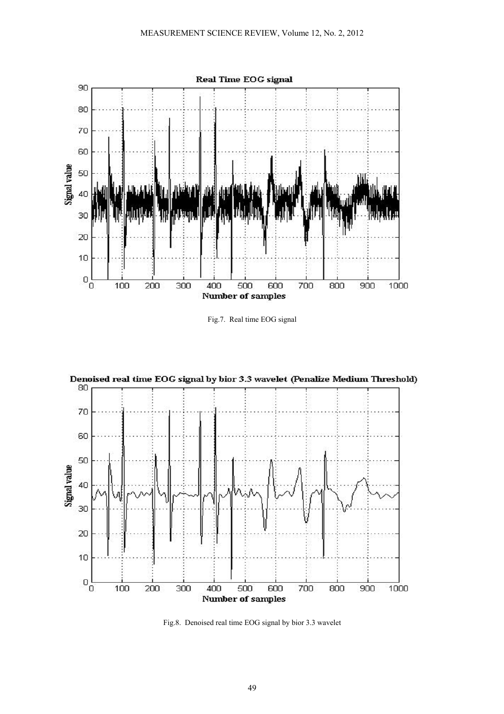

Fig.7. Real time EOG signal



Fig.8. Denoised real time EOG signal by bior 3.3 wavelet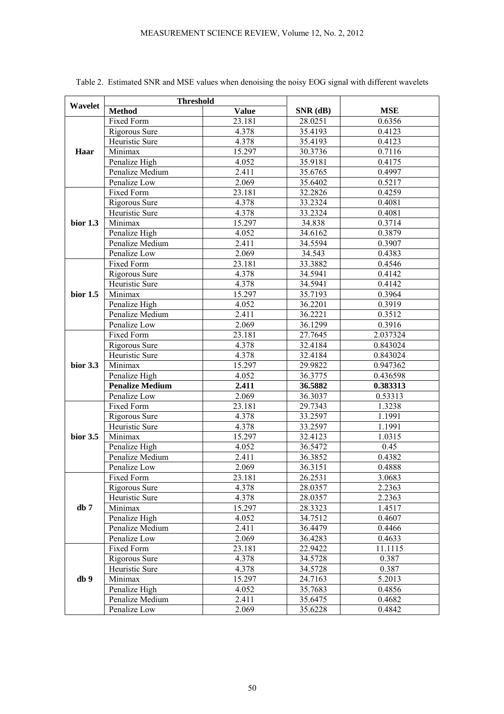| Wavelet    | <b>Threshold</b>       |              |          |            |
|------------|------------------------|--------------|----------|------------|
|            | <b>Method</b>          | <b>Value</b> | SNR (dB) | <b>MSE</b> |
| Haar       | Fixed Form             | 23.181       | 28.0251  | 0.6356     |
|            | Rigorous Sure          | 4.378        | 35.4193  | 0.4123     |
|            | Heuristic Sure         | 4.378        | 35.4193  | 0.4123     |
|            | Minimax                | 15.297       | 30.3736  | 0.7116     |
|            | Penalize High          | 4.052        | 35.9181  | 0.4175     |
|            | Penalize Medium        | 2.411        | 35.6765  | 0.4997     |
|            | Penalize Low           | 2.069        | 35.6402  | 0.5217     |
| bior $1.3$ | Fixed Form             | 23.181       | 32.2826  | 0.4259     |
|            | Rigorous Sure          | 4.378        | 33.2324  | 0.4081     |
|            | Heuristic Sure         | 4.378        | 33.2324  | 0.4081     |
|            | Minimax                | 15.297       | 34.838   | 0.3714     |
|            | Penalize High          | 4.052        | 34.6162  | 0.3879     |
|            | Penalize Medium        | 2.411        | 34.5594  | 0.3907     |
|            | Penalize Low           | 2.069        | 34.543   | 0.4383     |
| bior $1.5$ | Fixed Form             | 23.181       | 33.3882  | 0.4546     |
|            | Rigorous Sure          | 4.378        | 34.5941  | 0.4142     |
|            | Heuristic Sure         | 4.378        | 34.5941  | 0.4142     |
|            | Minimax                | 15.297       | 35.7193  | 0.3964     |
|            | Penalize High          | 4.052        | 36.2201  | 0.3919     |
|            | Penalize Medium        | 2.411        | 36.2221  | 0.3512     |
|            | Penalize Low           | 2.069        | 36.1299  | 0.3916     |
| bior $3.3$ | Fixed Form             | 23.181       | 27.7645  | 2.037324   |
|            | Rigorous Sure          | 4.378        | 32.4184  | 0.843024   |
|            | Heuristic Sure         | 4.378        | 32.4184  | 0.843024   |
|            | Minimax                | 15.297       | 29.9822  | 0.947362   |
|            | Penalize High          | 4.052        | 36.3775  | 0.436598   |
|            | <b>Penalize Medium</b> | 2.411        | 36.5882  | 0.383313   |
|            | Penalize Low           | 2.069        | 36.3037  | 0.53313    |
| bior $3.5$ | Fixed Form             | 23.181       | 29.7343  | 1.3238     |
|            | Rigorous Sure          | 4.378        | 33.2597  | 1.1991     |
|            | Heuristic Sure         | 4.378        | 33.2597  | 1.1991     |
|            | Minimax                | 15.297       | 32.4123  | 1.0315     |
|            | Penalize High          | 4.052        | 36.5472  | 0.45       |
|            | Penalize Medium        | 2.411        | 36.3852  | 0.4382     |
|            | Penalize Low           | 2.069        | 36.3151  | 0.4888     |
| db 7       | Fixed Form             | 23.181       | 26.2531  | 3.0683     |
|            | Rigorous Sure          | 4.378        | 28.0357  | 2.2363     |
|            | Heuristic Sure         | 4.378        | 28.0357  | 2.2363     |
|            | Minimax                | 15.297       | 28.3323  | 1.4517     |
|            | Penalize High          | 4.052        | 34.7512  | 0.4607     |
|            | Penalize Medium        | 2.411        | 36.4479  | 0.4466     |
|            | Penalize Low           | 2.069        | 36.4283  | 0.4633     |
| db 9       | Fixed Form             | 23.181       | 22.9422  | 11.1115    |
|            | Rigorous Sure          | 4.378        | 34.5728  | 0.387      |
|            | Heuristic Sure         | 4.378        | 34.5728  | 0.387      |
|            | Minimax                | 15.297       | 24.7163  | 5.2013     |
|            | Penalize High          | 4.052        | 35.7683  | 0.4856     |
|            | Penalize Medium        | 2.411        | 35.6475  | 0.4682     |
|            | Penalize Low           | 2.069        | 35.6228  | 0.4842     |

Table 2. Estimated SNR and MSE values when denoising the noisy EOG signal with different wavelets